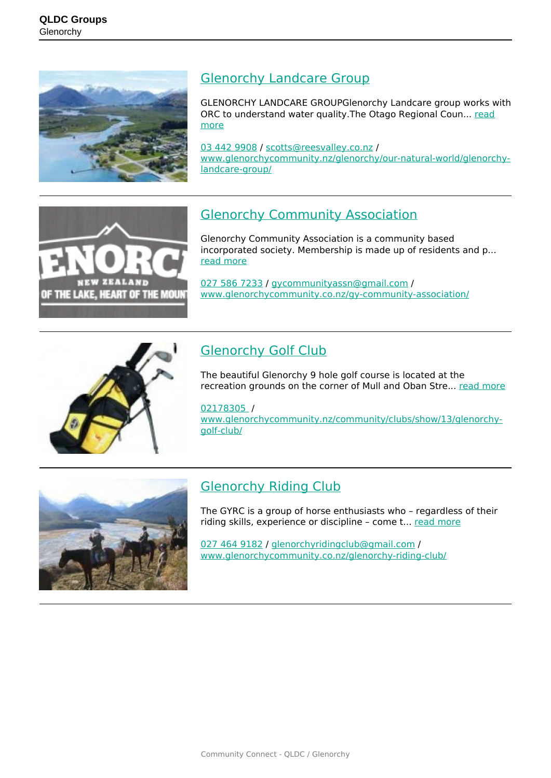

#### [Glenorchy Landcare Group](https://groups.qldc.govt.nz/groups/show/glenorchy-landcare-group/)

GLENORCHY LANDCARE GROUPGlenorchy Landcare group works with ORC to understand water quality. The Otago Regional Coun... [read](https://groups.qldc.govt.nz/groups/show/glenorchy-landcare-group/) [more](https://groups.qldc.govt.nz/groups/show/glenorchy-landcare-group/)

[03 442 9908](tel:034429908) / [scotts@reesvalley.co.nz](mailto:scotts@reesvalley.co.nz) / [www.glenorchycommunity.nz/glenorchy/our-natural-world/glenorchy](https://www.glenorchycommunity.nz/glenorchy/our-natural-world/glenorchy-landcare-group/)[landcare-group/](https://www.glenorchycommunity.nz/glenorchy/our-natural-world/glenorchy-landcare-group/)



# [Glenorchy Community Association](https://groups.qldc.govt.nz/groups/show/glenorchy-community-association/)

Glenorchy Community Association is a community based incorporated society. Membership is made up of residents and p... [read more](https://groups.qldc.govt.nz/groups/show/glenorchy-community-association/)

[027 586 7233](tel:0275867233) / [gycommunityassn@gmail.com](mailto:gycommunityassn@gmail.com) / [www.glenorchycommunity.co.nz/gy-community-association/](http://www.glenorchycommunity.co.nz/gy-community-association/ )



# [Glenorchy Golf Club](https://groups.qldc.govt.nz/groups/show/glenorchy-golf-club/)

The beautiful Glenorchy 9 hole golf course is located at the recreation grounds on the corner of Mull and Oban Stre... [read more](https://groups.qldc.govt.nz/groups/show/glenorchy-golf-club/)

#### [02178305](tel:02178305) /

[www.glenorchycommunity.nz/community/clubs/show/13/glenorchy](http://www.glenorchycommunity.nz/community/clubs/show/13/glenorchy-golf-club/)[golf-club/](http://www.glenorchycommunity.nz/community/clubs/show/13/glenorchy-golf-club/)



### [Glenorchy Riding Club](https://groups.qldc.govt.nz/groups/show/glenorchy-riding-club/)

The GYRC is a group of horse enthusiasts who – regardless of their riding skills, experience or discipline – come t... [read more](https://groups.qldc.govt.nz/groups/show/glenorchy-riding-club/)

[027 464 9182](tel:0274649182) / [glenorchyridingclub@gmail.com](mailto:glenorchyridingclub@gmail.com) / [www.glenorchycommunity.co.nz/glenorchy-riding-club/](http://www.glenorchycommunity.co.nz/glenorchy-riding-club/)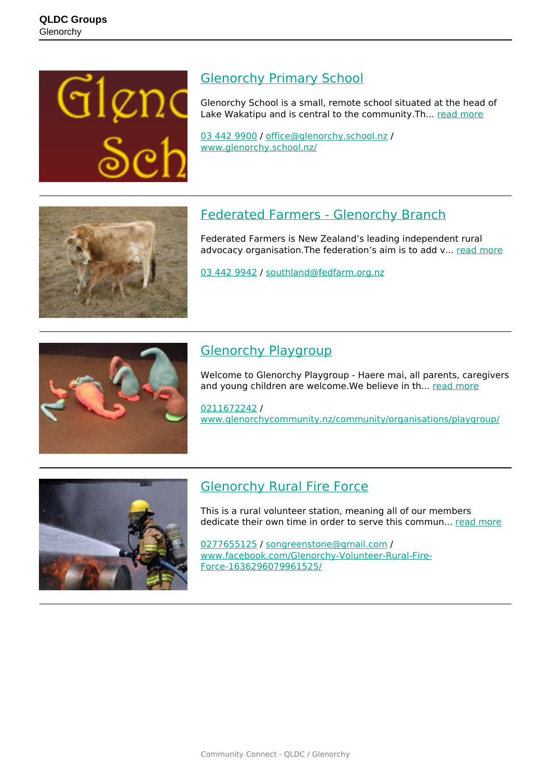

### [Glenorchy Primary School](https://groups.qldc.govt.nz/groups/show/glenorchy-primary-school/)

Glenorchy School is a small, remote school situated at the head of Lake Wakatipu and is central to the community.Th... [read more](https://groups.qldc.govt.nz/groups/show/glenorchy-primary-school/)

[03 442 9900](tel:034429900) / [office@glenorchy.school.nz](mailto:office@glenorchy.school.nz) / [www.glenorchy.school.nz/](http://www.glenorchy.school.nz/)



## [Federated Farmers - Glenorchy Branch](https://groups.qldc.govt.nz/groups/show/federated-farmers-glenorchy-branch/)

Federated Farmers is New Zealand's leading independent rural advocacy organisation. The federation's aim is to add v... [read more](https://groups.qldc.govt.nz/groups/show/federated-farmers-glenorchy-branch/)

[03 442 9942](tel:034429942) / [southland@fedfarm.org.nz](mailto:southland@fedfarm.org.nz)



## [Glenorchy Playgroup](https://groups.qldc.govt.nz/groups/show/glenorchy-playgroup/)

Welcome to Glenorchy Playgroup - Haere mai, all parents, caregivers and young children are welcome. We believe in th... [read more](https://groups.qldc.govt.nz/groups/show/glenorchy-playgroup/)

[0211672242](tel:0211672242) / [www.glenorchycommunity.nz/community/organisations/playgroup/](https://www.glenorchycommunity.nz/community/organisations/playgroup/)



## [Glenorchy Rural Fire Force](https://groups.qldc.govt.nz/groups/show/glenorchy-rural-fire-force/)

This is a rural volunteer station, meaning all of our members dedicate their own time in order to serve this commun... [read more](https://groups.qldc.govt.nz/groups/show/glenorchy-rural-fire-force/)

[0277655125](tel:0277655125) / [songreenstone@gmail.com](mailto:songreenstone@gmail.com) / [www.facebook.com/Glenorchy-Volunteer-Rural-Fire-](https://www.facebook.com/Glenorchy-Volunteer-Rural-Fire-Force-1636296079961525/)[Force-1636296079961525/](https://www.facebook.com/Glenorchy-Volunteer-Rural-Fire-Force-1636296079961525/)